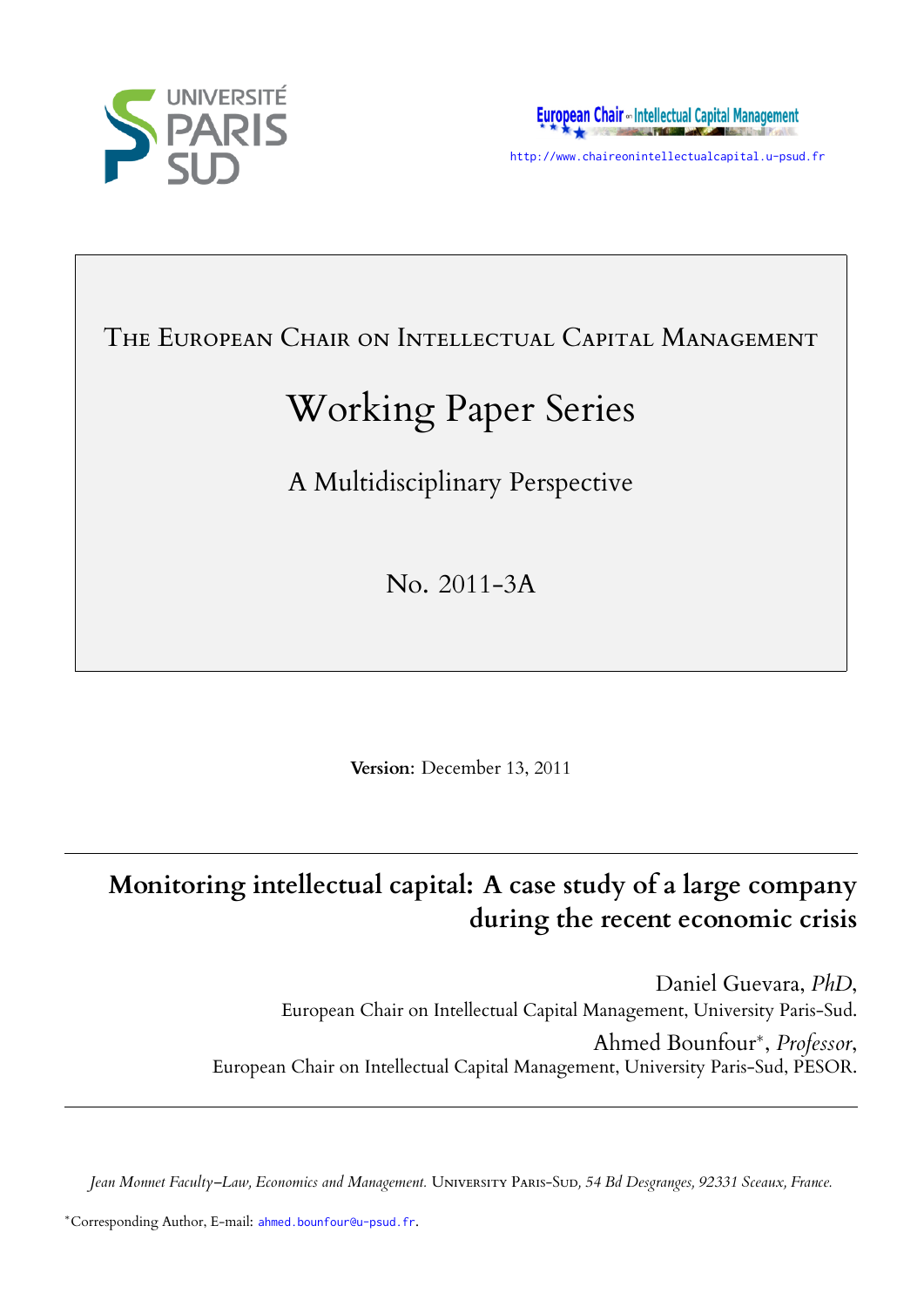



http://www.chaireonintellectualcapital.u-psud.fr

## THE EUROPEAN CHAIR ON INTELLECTUAL CAPITAL MANAGEMENT

# Working Paper Series

A Multidisciplinary Perspective

No. 2011-3A

**Version**: December 13, 2011

## **Monitoring intellectual capital: A case study of a large company during the recent economic crisis**

Daniel Guevara, *PhD*, European Chair on Intellectual Capital Management, University Paris-Sud. Ahmed Bounfour*∗* , *Professor*, European Chair on Intellectual Capital Management, University Paris-Sud, PESOR.

*Jean Monnet Faculty–Law, Economics and Management.* Uᴠᴇᴛ Pᴀ-Sᴜᴅ*, 54 Bd Desgranges, 92331 Sceaux, France.*

*<sup>∗</sup>*Corresponding Author, E-mail: ahmed.bounfour@u-psud.fr.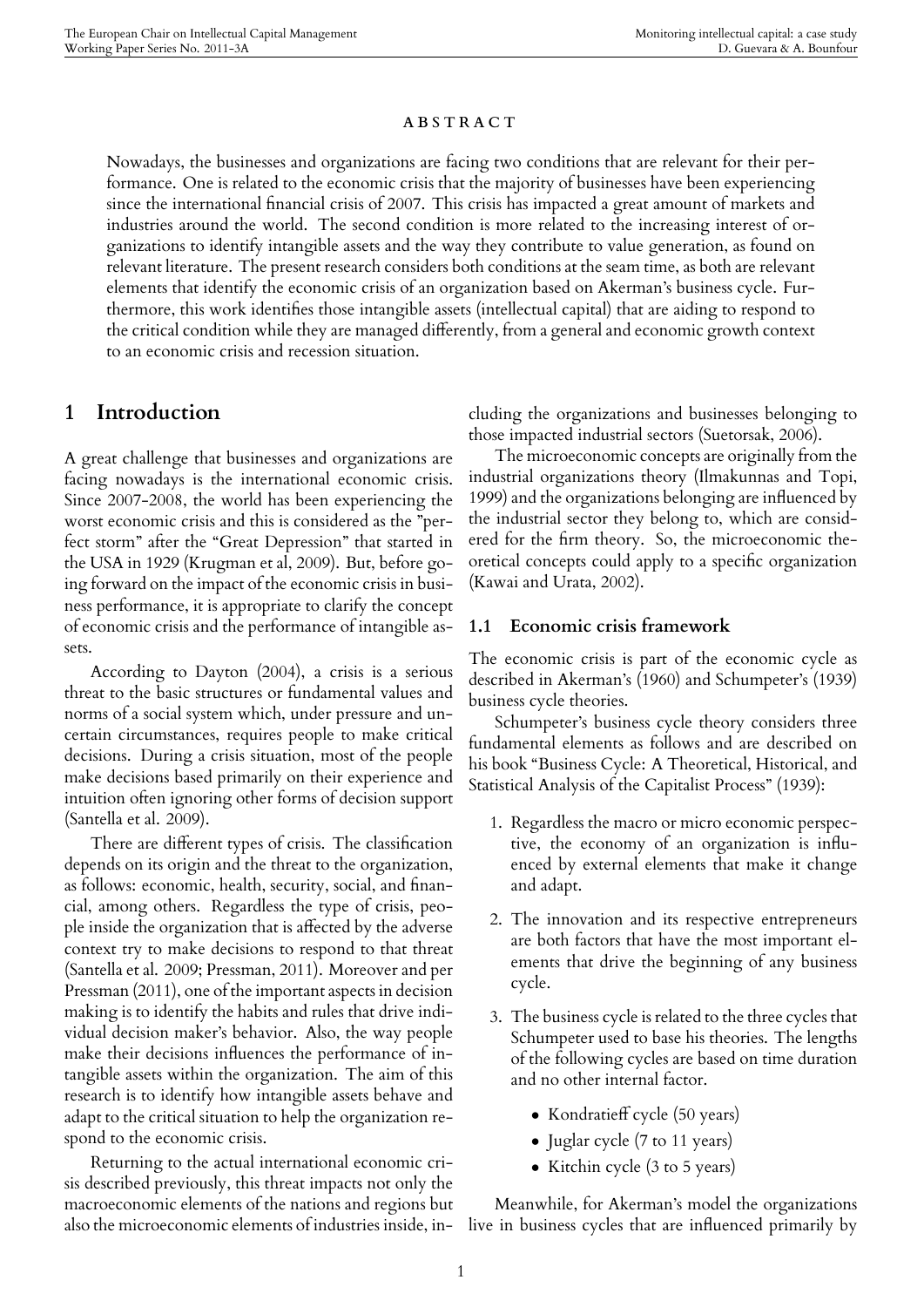#### **ABSTRACT**

Nowadays, the businesses and organizations are facing two conditions that are relevant for their performance. One is related to the economic crisis that the majority of businesses have been experiencing since the international financial crisis of 2007. This crisis has impacted a great amount of markets and industries around the world. The second condition is more related to the increasing interest of organizations to identify intangible assets and the way they contribute to value generation, as found on relevant literature. The present research considers both conditions at the seam time, as both are relevant elements that identify the economic crisis of an organization based on Akerman's business cycle. Furthermore, this work identifies those intangible assets (intellectual capital) that are aiding to respond to the critical condition while they are managed differently, from a general and economic growth context to an economic crisis and recession situation.

## **1 Introduction**

A great challenge that businesses and organizations are facing nowadays is the international economic crisis. Since 2007-2008, the world has been experiencing the worst economic crisis and this is considered as the "perfect storm" after the "Great Depression" that started in the USA in 1929 (Krugman et al, 2009). But, before going forward on the impact of the economic crisis in business performance, it is appropriate to clarify the concept of economic crisis and the performance of intangible assets.

According to Dayton (2004), a crisis is a serious threat to the basic structures or fundamental values and norms of a social system which, under pressure and uncertain circumstances, requires people to make critical decisions. During a crisis situation, most of the people make decisions based primarily on their experience and intuition often ignoring other forms of decision support (Santella et al. 2009).

There are different types of crisis. The classification depends on its origin and the threat to the organization, as follows: economic, health, security, social, and financial, among others. Regardless the type of crisis, people inside the organization that is affected by the adverse context try to make decisions to respond to that threat (Santella et al. 2009; Pressman, 2011). Moreover and per Pressman (2011), one of the important aspects in decision making is to identify the habits and rules that drive individual decision maker's behavior. Also, the way people make their decisions influences the performance of intangible assets within the organization. The aim of this research is to identify how intangible assets behave and adapt to the critical situation to help the organization respond to the economic crisis.

Returning to the actual international economic crisis described previously, this threat impacts not only the macroeconomic elements of the nations and regions but also the microeconomic elements of industries inside, including the organizations and businesses belonging to those impacted industrial sectors (Suetorsak, 2006).

The microeconomic concepts are originally from the industrial organizations theory (Ilmakunnas and Topi, 1999) and the organizations belonging are influenced by the industrial sector they belong to, which are considered for the firm theory. So, the microeconomic theoretical concepts could apply to a specific organization (Kawai and Urata, 2002).

## **1.1 Economic crisis framework**

The economic crisis is part of the economic cycle as described in Akerman's (1960) and Schumpeter's (1939) business cycle theories.

Schumpeter's business cycle theory considers three fundamental elements as follows and are described on his book "Business Cycle: A Theoretical, Historical, and Statistical Analysis of the Capitalist Process" (1939):

- 1. Regardless the macro or micro economic perspective, the economy of an organization is influenced by external elements that make it change and adapt.
- 2. The innovation and its respective entrepreneurs are both factors that have the most important elements that drive the beginning of any business cycle.
- 3. The business cycle is related to the three cycles that Schumpeter used to base his theories. The lengths of the following cycles are based on time duration and no other internal factor.
	- *•* Kondratieff cycle (50 years)
	- Juglar cycle (7 to 11 years)
	- Kitchin cycle (3 to 5 years)

Meanwhile, for Akerman's model the organizations live in business cycles that are influenced primarily by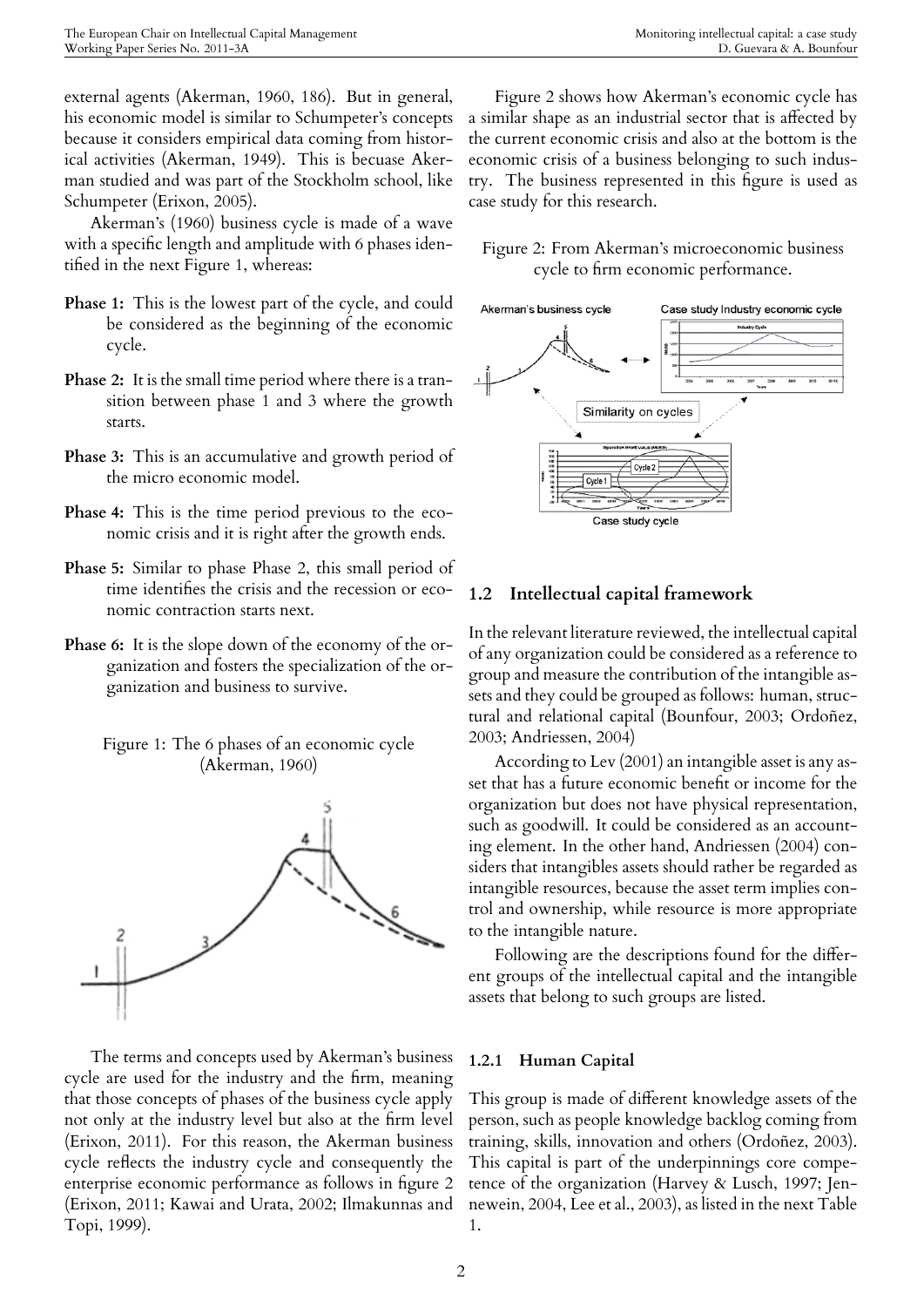external agents (Akerman, 1960, 186). But in general, his economic model is similar to Schumpeter's concepts because it considers empirical data coming from historical activities (Akerman, 1949). This is becuase Akerman studied and was part of the Stockholm school, like Schumpeter (Erixon, 2005).

Akerman's (1960) business cycle is made of a wave with a specific length and amplitude with 6 phases identified in the next Figure 1, whereas:

- **Phase 1:** This is the lowest part of the cycle, and could be considered as the beginning of the economic cycle.
- **Phase 2:** It is the small time period where there is a transition between phase 1 and 3 where the growth starts.
- **Phase 3:** This is an accumulative and growth period of the micro economic model.
- **Phase 4:** This is the time period previous to the economic crisis and it is right after the growth ends.
- **Phase 5:** Similar to phase Phase 2, this small period of time identifies the crisis and the recession or economic contraction starts next.
- **Phase 6:** It is the slope down of the economy of the organization and fosters the specialization of the organization and business to survive.





The terms and concepts used by Akerman's business cycle are used for the industry and the firm, meaning that those concepts of phases of the business cycle apply not only at the industry level but also at the firm level (Erixon, 2011). For this reason, the Akerman business cycle reflects the industry cycle and consequently the enterprise economic performance as follows in figure 2 (Erixon, 2011; Kawai and Urata, 2002; Ilmakunnas and Topi, 1999).

Figure 2 shows how Akerman's economic cycle has a similar shape as an industrial sector that is affected by the current economic crisis and also at the bottom is the economic crisis of a business belonging to such industry. The business represented in this figure is used as case study for this research.

Figure 2: From Akerman's microeconomic business cycle to firm economic performance.



## **1.2 Intellectual capital framework**

In the relevant literature reviewed, the intellectual capital of any organization could be considered as a reference to group and measure the contribution of the intangible assets and they could be grouped as follows: human, structural and relational capital (Bounfour, 2003; Ordoñez, 2003; Andriessen, 2004)

According to Lev (2001) an intangible asset is any asset that has a future economic benefit or income for the organization but does not have physical representation, such as goodwill. It could be considered as an accounting element. In the other hand, Andriessen (2004) considers that intangibles assets should rather be regarded as intangible resources, because the asset term implies control and ownership, while resource is more appropriate to the intangible nature.

Following are the descriptions found for the different groups of the intellectual capital and the intangible assets that belong to such groups are listed.

### **1.2.1 Human Capital**

This group is made of different knowledge assets of the person, such as people knowledge backlog coming from training, skills, innovation and others (Ordoñez, 2003). This capital is part of the underpinnings core competence of the organization (Harvey & Lusch, 1997; Jennewein, 2004, Lee et al., 2003), as listed in the next Table 1.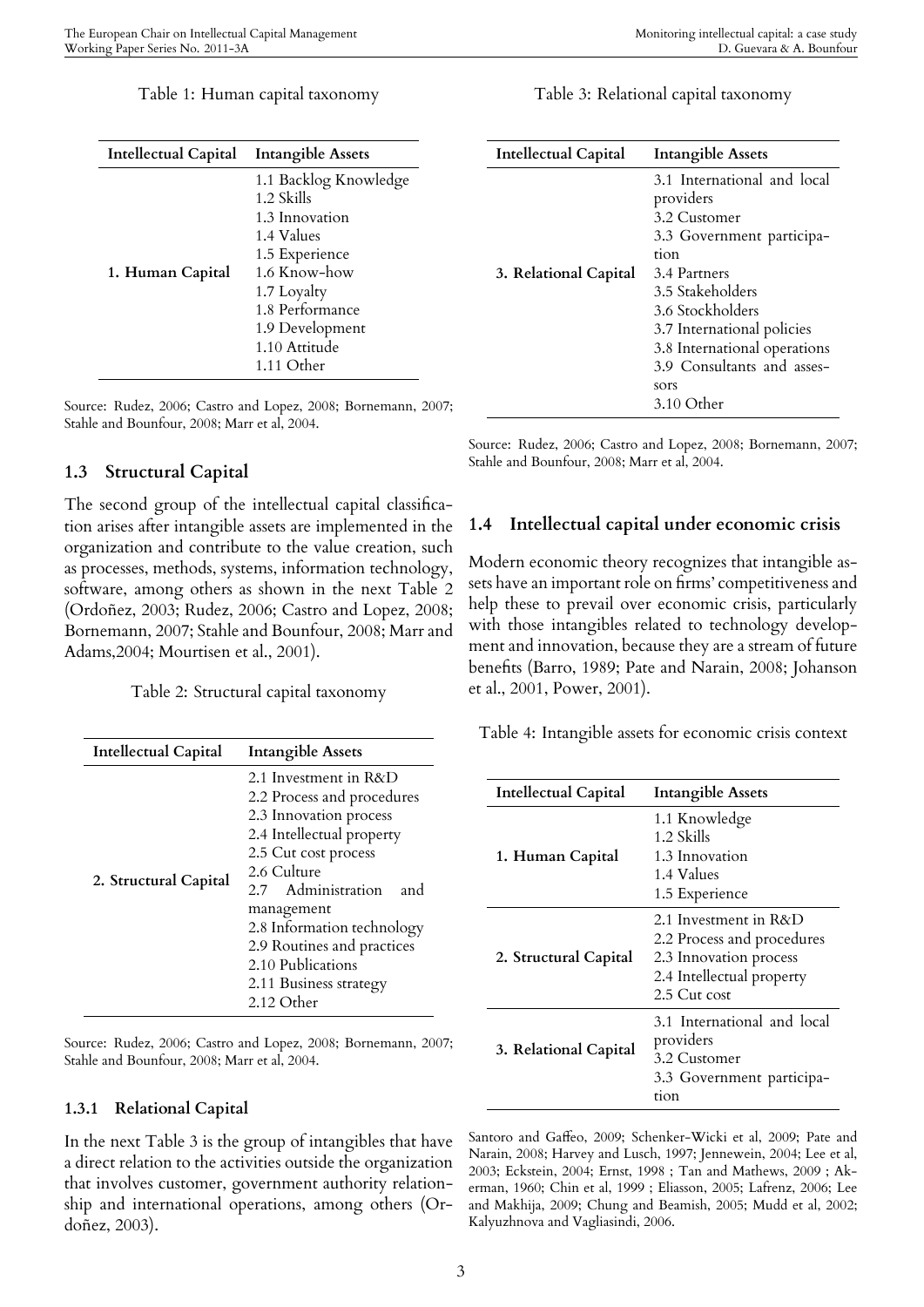| <b>Intellectual Capital</b> | <b>Intangible Assets</b>                                                                                                                                                                  |
|-----------------------------|-------------------------------------------------------------------------------------------------------------------------------------------------------------------------------------------|
| 1. Human Capital            | 1.1 Backlog Knowledge<br>1.2 Skills<br>1.3 Innovation<br>1.4 Values<br>1.5 Experience<br>1.6 Know-how<br>1.7 Loyalty<br>1.8 Performance<br>1.9 Development<br>1.10 Attitude<br>1.11 Other |

Source: Rudez, 2006; Castro and Lopez, 2008; Bornemann, 2007; Stahle and Bounfour, 2008; Marr et al, 2004.

### **1.3 Structural Capital**

The second group of the intellectual capital classification arises after intangible assets are implemented in the organization and contribute to the value creation, such as processes, methods, systems, information technology, software, among others as shown in the next Table 2 (Ordoñez, 2003; Rudez, 2006; Castro and Lopez, 2008; Bornemann, 2007; Stahle and Bounfour, 2008; Marr and Adams,2004; Mourtisen et al., 2001).

Table 2: Structural capital taxonomy

| <b>Intellectual Capital</b> | <b>Intangible Assets</b>                                                                                                                                                                                                                                                                                              |  |
|-----------------------------|-----------------------------------------------------------------------------------------------------------------------------------------------------------------------------------------------------------------------------------------------------------------------------------------------------------------------|--|
| 2. Structural Capital       | 2.1 Investment in R&D<br>2.2 Process and procedures<br>2.3 Innovation process<br>2.4 Intellectual property<br>2.5 Cut cost process<br>2.6 Culture<br>2.7 Administration<br>and<br>management<br>2.8 Information technology<br>2.9 Routines and practices<br>2.10 Publications<br>2.11 Business strategy<br>2.12 Other |  |

Source: Rudez, 2006; Castro and Lopez, 2008; Bornemann, 2007; Stahle and Bounfour, 2008; Marr et al, 2004.

#### **1.3.1 Relational Capital**

In the next Table 3 is the group of intangibles that have a direct relation to the activities outside the organization that involves customer, government authority relationship and international operations, among others (Ordoñez, 2003).

Table 3: Relational capital taxonomy

| <b>Intellectual Capital</b> | <b>Intangible Assets</b>                 |
|-----------------------------|------------------------------------------|
|                             | 3.1 International and local<br>providers |
|                             | 3.2 Customer                             |
|                             | 3.3 Government participa-                |
|                             | tion                                     |
| 3. Relational Capital       | 3.4 Partners                             |
|                             | 3.5 Stakeholders                         |
|                             | 3.6 Stockholders                         |
|                             | 3.7 International policies               |
|                             | 3.8 International operations             |
|                             | 3.9 Consultants and asses-               |
|                             | sors                                     |
|                             | $3.10$ Other                             |

Source: Rudez, 2006; Castro and Lopez, 2008; Bornemann, 2007; Stahle and Bounfour, 2008; Marr et al, 2004.

#### **1.4 Intellectual capital under economic crisis**

Modern economic theory recognizes that intangible assets have an important role on firms' competitiveness and help these to prevail over economic crisis, particularly with those intangibles related to technology development and innovation, because they are a stream of future benefits (Barro, 1989; Pate and Narain, 2008; Johanson et al., 2001, Power, 2001).

Table 4: Intangible assets for economic crisis context

| <b>Intellectual Capital</b> | <b>Intangible Assets</b>                                                                                                   |
|-----------------------------|----------------------------------------------------------------------------------------------------------------------------|
| 1. Human Capital            | 1.1 Knowledge<br>1.2 Skills<br>1.3 Innovation<br>1.4 Values<br>1.5 Experience                                              |
| 2. Structural Capital       | 2.1 Investment in R&D<br>2.2 Process and procedures<br>2.3 Innovation process<br>2.4 Intellectual property<br>2.5 Cut cost |
| 3. Relational Capital       | 3.1 International and local<br>providers<br>3.2 Customer<br>3.3 Government participa-<br>tion                              |

Santoro and Gaffeo, 2009; Schenker-Wicki et al, 2009; Pate and Narain, 2008; Harvey and Lusch, 1997; Jennewein, 2004; Lee et al, 2003; Eckstein, 2004; Ernst, 1998 ; Tan and Mathews, 2009 ; Akerman, 1960; Chin et al, 1999 ; Eliasson, 2005; Lafrenz, 2006; Lee and Makhija, 2009; Chung and Beamish, 2005; Mudd et al, 2002; Kalyuzhnova and Vagliasindi, 2006.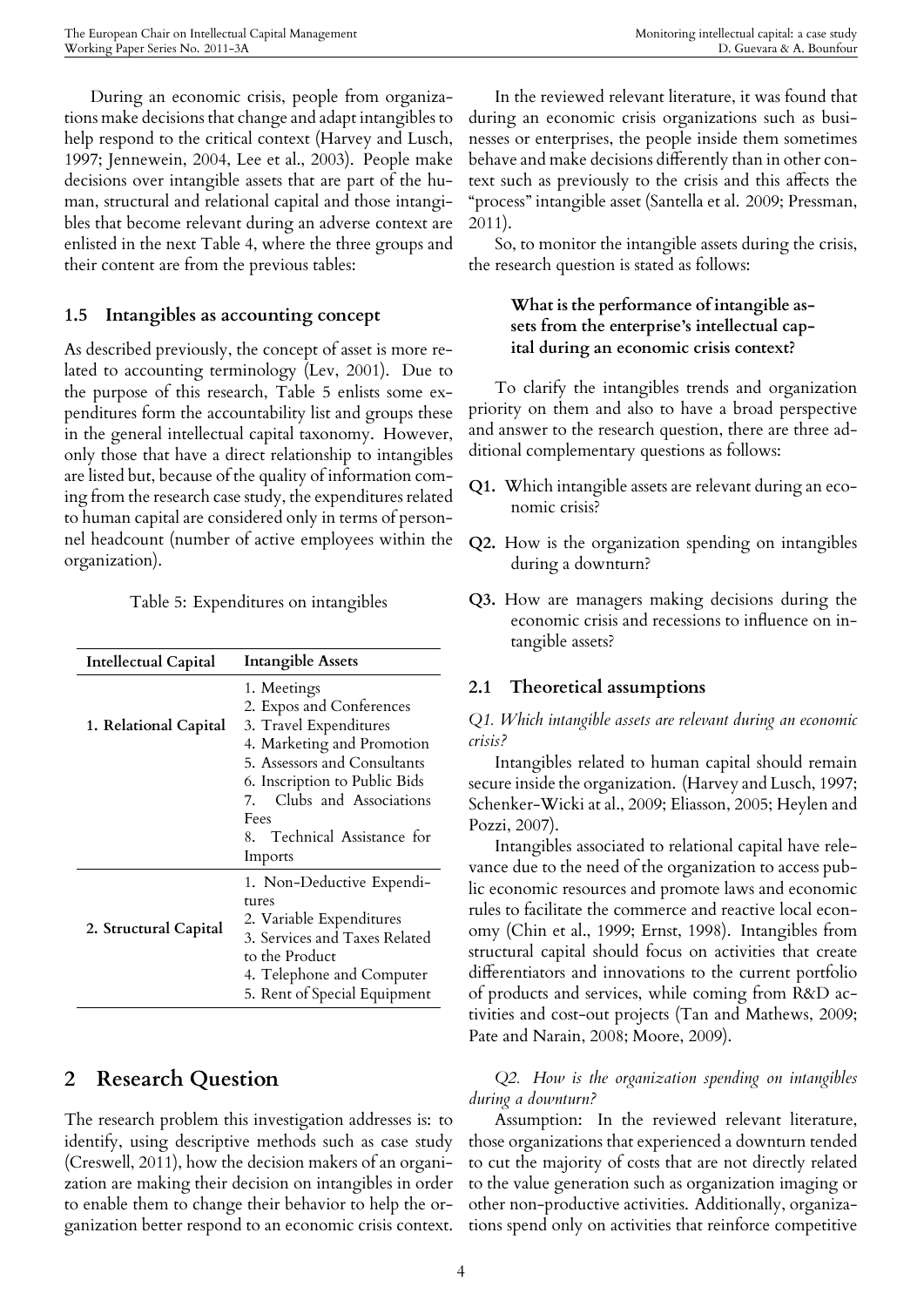During an economic crisis, people from organizations make decisions that change and adapt intangibles to help respond to the critical context (Harvey and Lusch, 1997; Jennewein, 2004, Lee et al., 2003). People make decisions over intangible assets that are part of the human, structural and relational capital and those intangibles that become relevant during an adverse context are enlisted in the next Table 4, where the three groups and their content are from the previous tables:

## **1.5 Intangibles as accounting concept**

As described previously, the concept of asset is more related to accounting terminology (Lev, 2001). Due to the purpose of this research, Table 5 enlists some expenditures form the accountability list and groups these in the general intellectual capital taxonomy. However, only those that have a direct relationship to intangibles are listed but, because of the quality of information coming from the research case study, the expenditures related to human capital are considered only in terms of personnel headcount (number of active employees within the organization).

|  | Table 5: Expenditures on intangibles |  |
|--|--------------------------------------|--|
|  |                                      |  |

| <b>Intellectual Capital</b> | <b>Intangible Assets</b>                                                                                                                                                                                                                        |
|-----------------------------|-------------------------------------------------------------------------------------------------------------------------------------------------------------------------------------------------------------------------------------------------|
| 1. Relational Capital       | 1. Meetings<br>2. Expos and Conferences<br>3. Travel Expenditures<br>4. Marketing and Promotion<br>5. Assessors and Consultants<br>6. Inscription to Public Bids<br>7. Clubs and Associations<br>Fees<br>8. Technical Assistance for<br>Imports |
| 2. Structural Capital       | 1. Non-Deductive Expendi-<br>tures<br>2. Variable Expenditures<br>3. Services and Taxes Related<br>to the Product<br>4. Telephone and Computer<br>5. Rent of Special Equipment                                                                  |

## **2 Research Question**

The research problem this investigation addresses is: to identify, using descriptive methods such as case study (Creswell, 2011), how the decision makers of an organization are making their decision on intangibles in order to enable them to change their behavior to help the organization better respond to an economic crisis context.

In the reviewed relevant literature, it was found that during an economic crisis organizations such as businesses or enterprises, the people inside them sometimes behave and make decisions differently than in other context such as previously to the crisis and this affects the "process" intangible asset (Santella et al. 2009; Pressman, 2011).

So, to monitor the intangible assets during the crisis, the research question is stated as follows:

## **What is the performance of intangible assets from the enterprise's intellectual capital during an economic crisis context?**

To clarify the intangibles trends and organization priority on them and also to have a broad perspective and answer to the research question, there are three additional complementary questions as follows:

- **Q1.** Which intangible assets are relevant during an economic crisis?
- **Q2.** How is the organization spending on intangibles during a downturn?
- **Q3.** How are managers making decisions during the economic crisis and recessions to influence on intangible assets?

## **2.1 Theoretical assumptions**

*Q1. Which intangible assets are relevant during an economic crisis?*

Intangibles related to human capital should remain secure inside the organization. (Harvey and Lusch, 1997; Schenker-Wicki at al., 2009; Eliasson, 2005; Heylen and Pozzi, 2007).

Intangibles associated to relational capital have relevance due to the need of the organization to access public economic resources and promote laws and economic rules to facilitate the commerce and reactive local economy (Chin et al., 1999; Ernst, 1998). Intangibles from structural capital should focus on activities that create differentiators and innovations to the current portfolio of products and services, while coming from R&D activities and cost-out projects (Tan and Mathews, 2009; Pate and Narain, 2008; Moore, 2009).

## *Q2. How is the organization spending on intangibles during a downturn?*

Assumption: In the reviewed relevant literature, those organizations that experienced a downturn tended to cut the majority of costs that are not directly related to the value generation such as organization imaging or other non-productive activities. Additionally, organizations spend only on activities that reinforce competitive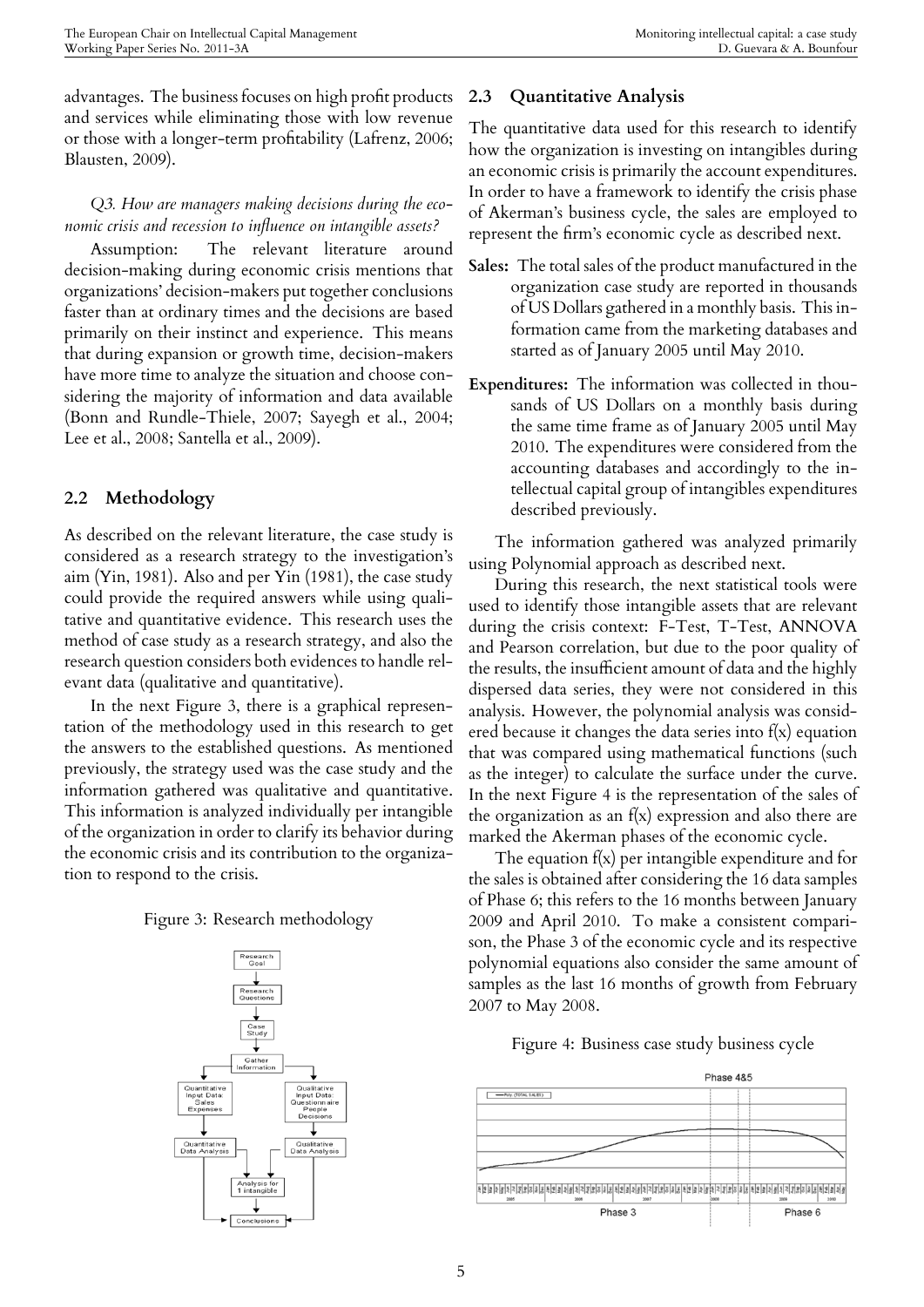advantages. The business focuses on high profit products and services while eliminating those with low revenue or those with a longer-term profitability (Lafrenz, 2006; Blausten, 2009).

## *Q3. How are managers making decisions during the economic crisis and recession to influence on intangible assets?*

Assumption: The relevant literature around decision-making during economic crisis mentions that organizations' decision-makers put together conclusions faster than at ordinary times and the decisions are based primarily on their instinct and experience. This means that during expansion or growth time, decision-makers have more time to analyze the situation and choose considering the majority of information and data available (Bonn and Rundle-Thiele, 2007; Sayegh et al., 2004; Lee et al., 2008; Santella et al., 2009).

## **2.2 Methodology**

As described on the relevant literature, the case study is considered as a research strategy to the investigation's aim (Yin, 1981). Also and per Yin (1981), the case study could provide the required answers while using qualitative and quantitative evidence. This research uses the method of case study as a research strategy, and also the research question considers both evidences to handle relevant data (qualitative and quantitative).

In the next Figure 3, there is a graphical representation of the methodology used in this research to get the answers to the established questions. As mentioned previously, the strategy used was the case study and the information gathered was qualitative and quantitative. This information is analyzed individually per intangible of the organization in order to clarify its behavior during the economic crisis and its contribution to the organization to respond to the crisis.

Figure 3: Research methodology



## **2.3 Quantitative Analysis**

The quantitative data used for this research to identify how the organization is investing on intangibles during an economic crisis is primarily the account expenditures. In order to have a framework to identify the crisis phase of Akerman's business cycle, the sales are employed to represent the firm's economic cycle as described next.

- **Sales:** The total sales of the product manufactured in the organization case study are reported in thousands of US Dollars gathered in a monthly basis. This information came from the marketing databases and started as of January 2005 until May 2010.
- **Expenditures:** The information was collected in thousands of US Dollars on a monthly basis during the same time frame as of January 2005 until May 2010. The expenditures were considered from the accounting databases and accordingly to the intellectual capital group of intangibles expenditures described previously.

The information gathered was analyzed primarily using Polynomial approach as described next.

During this research, the next statistical tools were used to identify those intangible assets that are relevant during the crisis context: F-Test, T-Test, ANNOVA and Pearson correlation, but due to the poor quality of the results, the insufficient amount of data and the highly dispersed data series, they were not considered in this analysis. However, the polynomial analysis was considered because it changes the data series into  $f(x)$  equation that was compared using mathematical functions (such as the integer) to calculate the surface under the curve. In the next Figure 4 is the representation of the sales of the organization as an  $f(x)$  expression and also there are marked the Akerman phases of the economic cycle.

The equation  $f(x)$  per intangible expenditure and for the sales is obtained after considering the 16 data samples of Phase 6; this refers to the 16 months between January 2009 and April 2010. To make a consistent comparison, the Phase 3 of the economic cycle and its respective polynomial equations also consider the same amount of samples as the last 16 months of growth from February 2007 to May 2008.

Figure 4: Business case study business cycle

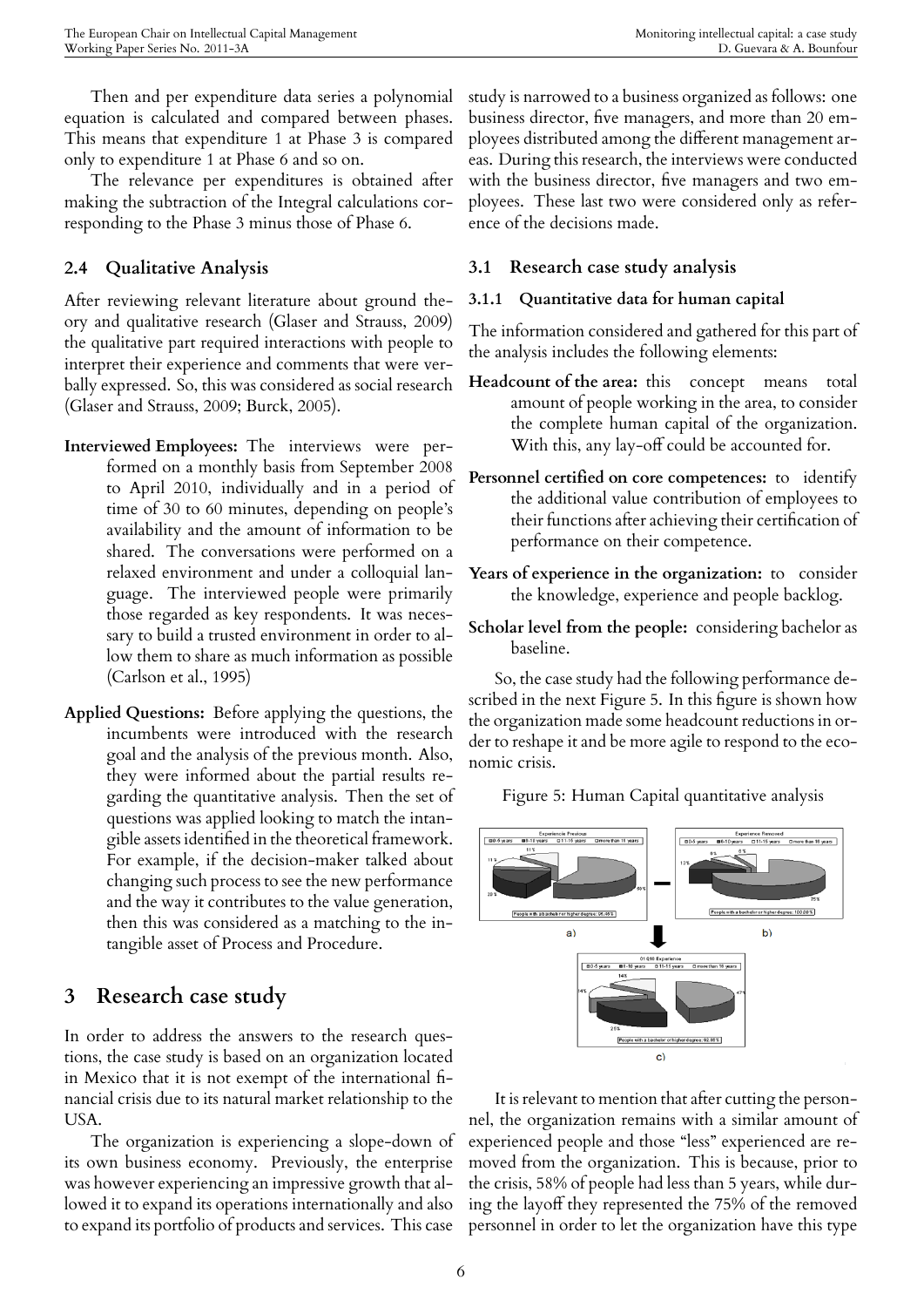Then and per expenditure data series a polynomial equation is calculated and compared between phases. This means that expenditure 1 at Phase 3 is compared only to expenditure 1 at Phase 6 and so on.

The relevance per expenditures is obtained after making the subtraction of the Integral calculations corresponding to the Phase 3 minus those of Phase 6.

## **2.4 Qualitative Analysis**

After reviewing relevant literature about ground theory and qualitative research (Glaser and Strauss, 2009) the qualitative part required interactions with people to interpret their experience and comments that were verbally expressed. So, this was considered as social research (Glaser and Strauss, 2009; Burck, 2005).

- **Interviewed Employees:** The interviews were performed on a monthly basis from September 2008 to April 2010, individually and in a period of time of 30 to 60 minutes, depending on people's availability and the amount of information to be shared. The conversations were performed on a relaxed environment and under a colloquial language. The interviewed people were primarily those regarded as key respondents. It was necessary to build a trusted environment in order to allow them to share as much information as possible (Carlson et al., 1995)
- **Applied Questions:** Before applying the questions, the incumbents were introduced with the research goal and the analysis of the previous month. Also, they were informed about the partial results regarding the quantitative analysis. Then the set of questions was applied looking to match the intangible assets identified in the theoretical framework. For example, if the decision-maker talked about changing such process to see the new performance and the way it contributes to the value generation, then this was considered as a matching to the intangible asset of Process and Procedure.

## **3 Research case study**

In order to address the answers to the research questions, the case study is based on an organization located in Mexico that it is not exempt of the international financial crisis due to its natural market relationship to the USA.

The organization is experiencing a slope-down of its own business economy. Previously, the enterprise was however experiencing an impressive growth that allowed it to expand its operations internationally and also to expand its portfolio of products and services. This case

study is narrowed to a business organized as follows: one business director, five managers, and more than 20 employees distributed among the different management areas. During this research, the interviews were conducted with the business director, five managers and two employees. These last two were considered only as reference of the decisions made.

## **3.1 Research case study analysis**

## **3.1.1 Quantitative data for human capital**

The information considered and gathered for this part of the analysis includes the following elements:

- **Headcount of the area:** this concept means total amount of people working in the area, to consider the complete human capital of the organization. With this, any lay-off could be accounted for.
- **Personnel certified on core competences:** to identify the additional value contribution of employees to their functions after achieving their certification of performance on their competence.
- **Years of experience in the organization:** to consider the knowledge, experience and people backlog.
- **Scholar level from the people:** considering bachelor as baseline.

So, the case study had the following performance described in the next Figure 5. In this figure is shown how the organization made some headcount reductions in order to reshape it and be more agile to respond to the economic crisis.

Figure 5: Human Capital quantitative analysis



It is relevant to mention that after cutting the personnel, the organization remains with a similar amount of experienced people and those "less" experienced are removed from the organization. This is because, prior to the crisis, 58% of people had less than 5 years, while during the layoff they represented the 75% of the removed personnel in order to let the organization have this type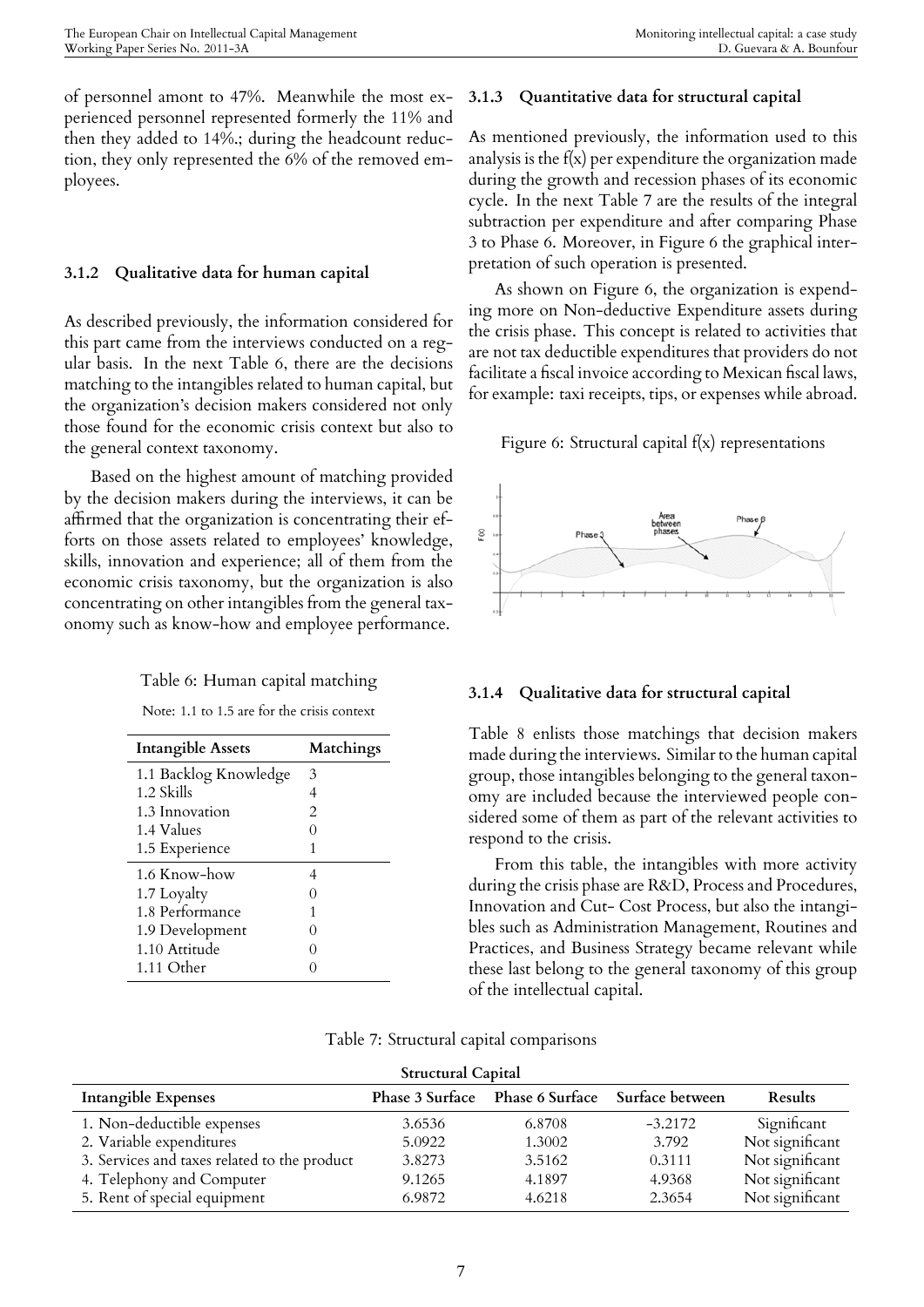of personnel amont to 47%. Meanwhile the most experienced personnel represented formerly the 11% and then they added to 14%.; during the headcount reduction, they only represented the 6% of the removed employees.

## **3.1.2 Qualitative data for human capital**

As described previously, the information considered for this part came from the interviews conducted on a regular basis. In the next Table 6, there are the decisions matching to the intangibles related to human capital, but the organization's decision makers considered not only those found for the economic crisis context but also to the general context taxonomy.

Based on the highest amount of matching provided by the decision makers during the interviews, it can be affirmed that the organization is concentrating their efforts on those assets related to employees' knowledge, skills, innovation and experience; all of them from the economic crisis taxonomy, but the organization is also concentrating on other intangibles from the general taxonomy such as know-how and employee performance.

### Table 6: Human capital matching

Note: 1.1 to 1.5 are for the crisis context

| <b>Intangible Assets</b> | Matchings         |
|--------------------------|-------------------|
| 1.1 Backlog Knowledge    | 3                 |
| 1.2 Skills               | 4                 |
| 1.3 Innovation           | 2                 |
| <b>1.4 Values</b>        |                   |
| 1.5 Experience           | 1                 |
| 1.6 Know-how             | 4                 |
| 1.7 Loyalty              | $\mathbf{\Omega}$ |
| 1.8 Performance          | 1                 |
| 1.9 Development          |                   |
| 1.10 Attitude            | 0                 |
| 1.11 Other               |                   |

## **3.1.3 Quantitative data for structural capital**

As mentioned previously, the information used to this analysis is the  $f(x)$  per expenditure the organization made during the growth and recession phases of its economic cycle. In the next Table 7 are the results of the integral subtraction per expenditure and after comparing Phase 3 to Phase 6. Moreover, in Figure 6 the graphical interpretation of such operation is presented.

As shown on Figure 6, the organization is expending more on Non-deductive Expenditure assets during the crisis phase. This concept is related to activities that are not tax deductible expenditures that providers do not facilitate a fiscal invoice according to Mexican fiscal laws, for example: taxi receipts, tips, or expenses while abroad.

## Figure 6: Structural capital f(x) representations



## **3.1.4 Qualitative data for structural capital**

Table 8 enlists those matchings that decision makers made during the interviews. Similar to the human capital group, those intangibles belonging to the general taxonomy are included because the interviewed people considered some of them as part of the relevant activities to respond to the crisis.

From this table, the intangibles with more activity during the crisis phase are R&D, Process and Procedures, Innovation and Cut- Cost Process, but also the intangibles such as Administration Management, Routines and Practices, and Business Strategy became relevant while these last belong to the general taxonomy of this group of the intellectual capital.

| Structural Capital                           |        |                                                 |           |                 |
|----------------------------------------------|--------|-------------------------------------------------|-----------|-----------------|
| Intangible Expenses                          |        | Phase 3 Surface Phase 6 Surface Surface between |           | Results         |
| 1. Non-deductible expenses                   | 3.6536 | 6.8708                                          | $-3.2172$ | Significant     |
| 2. Variable expenditures                     | 5.0922 | 1.3002                                          | 3.792     | Not significant |
| 3. Services and taxes related to the product | 3.8273 | 3.5162                                          | 0.3111    | Not significant |
| 4. Telephony and Computer                    | 9.1265 | 4.1897                                          | 4.9368    | Not significant |
| 5. Rent of special equipment                 | 6.9872 | 4.6218                                          | 2.3654    | Not significant |

## Table 7: Structural capital comparisons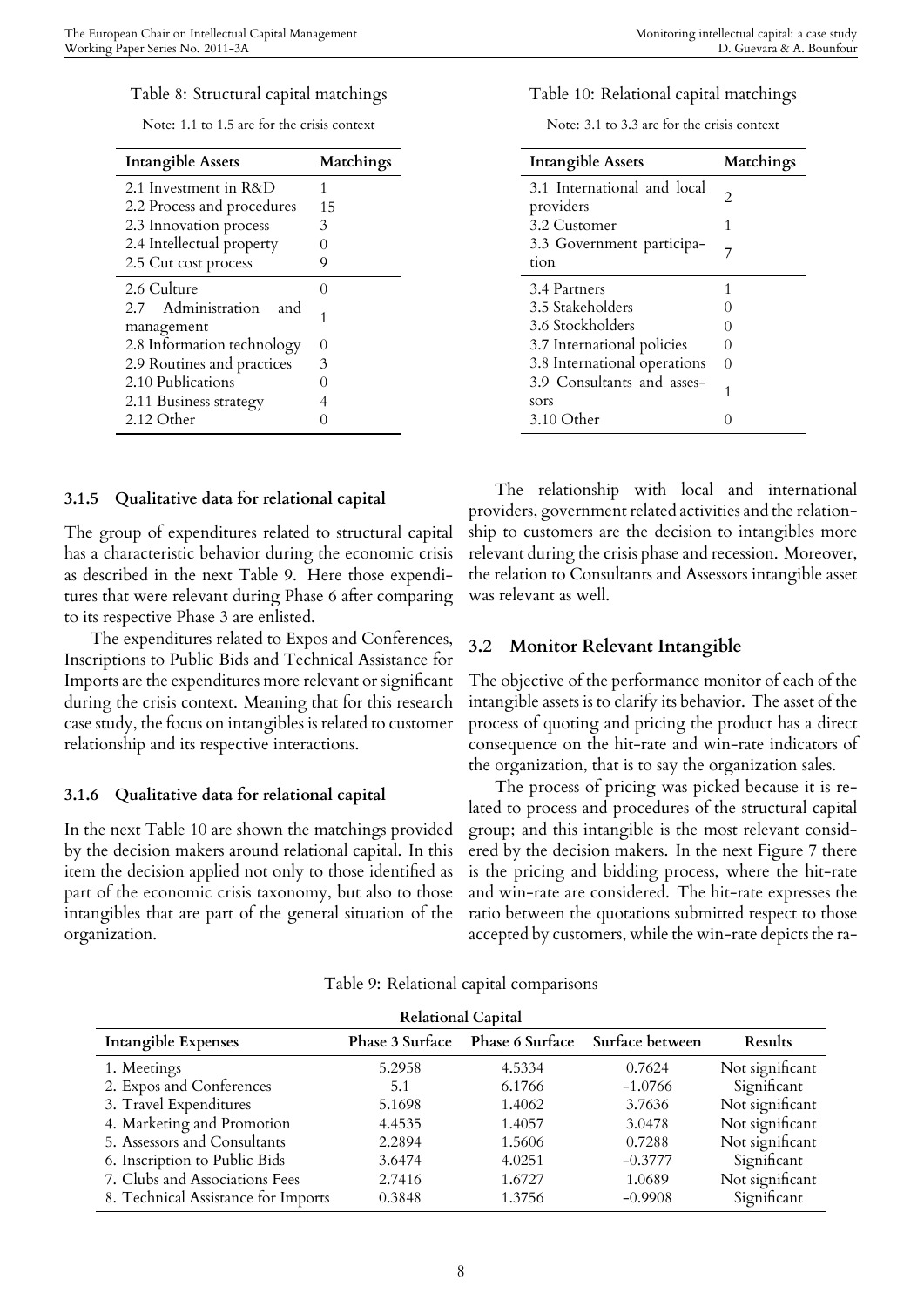#### Table 8: Structural capital matchings

Note: 1.1 to 1.5 are for the crisis context

| <b>Intangible Assets</b>                | Matchings     |
|-----------------------------------------|---------------|
| 2.1 Investment in R&D                   | 1             |
| 2.2 Process and procedures              | 15            |
| 2.3 Innovation process                  | 3             |
| 2.4 Intellectual property               | $\mathcal{O}$ |
| 2.5 Cut cost process                    | 9             |
| 2.6 Culture                             | $\cap$        |
| 2.7 Administration<br>and<br>management | 1             |
| 2.8 Information technology              | 0             |
| 2.9 Routines and practices              | 3             |
| 2.10 Publications                       | $\mathcal{O}$ |
| 2.11 Business strategy                  |               |
| 2.12 Other                              |               |

#### **3.1.5 Qualitative data for relational capital**

The group of expenditures related to structural capital has a characteristic behavior during the economic crisis as described in the next Table 9. Here those expenditures that were relevant during Phase 6 after comparing to its respective Phase 3 are enlisted.

The expenditures related to Expos and Conferences, Inscriptions to Public Bids and Technical Assistance for Imports are the expenditures more relevant or significant during the crisis context. Meaning that for this research case study, the focus on intangibles is related to customer relationship and its respective interactions.

#### **3.1.6 Qualitative data for relational capital**

In the next Table 10 are shown the matchings provided by the decision makers around relational capital. In this item the decision applied not only to those identified as part of the economic crisis taxonomy, but also to those intangibles that are part of the general situation of the organization.

#### Table 10: Relational capital matchings

Note: 3.1 to 3.3 are for the crisis context

| <b>Intangible Assets</b>                 | Matchings     |
|------------------------------------------|---------------|
| 3.1 International and local<br>providers | 2.            |
| 3.2 Customer                             | 1             |
| 3.3 Government participa-<br>tion        | 7             |
| 3.4 Partners                             | 1             |
| 3.5 Stakeholders                         |               |
| 3.6 Stockholders                         |               |
| 3.7 International policies               | $\mathcal{O}$ |
| 3.8 International operations             | $\Omega$      |
| 3.9 Consultants and asses-<br>sors       | 1             |
| $3.10$ Other                             |               |

The relationship with local and international providers, government related activities and the relationship to customers are the decision to intangibles more relevant during the crisis phase and recession. Moreover, the relation to Consultants and Assessors intangible asset was relevant as well.

### **3.2 Monitor Relevant Intangible**

The objective of the performance monitor of each of the intangible assets is to clarify its behavior. The asset of the process of quoting and pricing the product has a direct consequence on the hit-rate and win-rate indicators of the organization, that is to say the organization sales.

The process of pricing was picked because it is related to process and procedures of the structural capital group; and this intangible is the most relevant considered by the decision makers. In the next Figure 7 there is the pricing and bidding process, where the hit-rate and win-rate are considered. The hit-rate expresses the ratio between the quotations submitted respect to those accepted by customers, while the win-rate depicts the ra-

Table 9: Relational capital comparisons

| <b>Relational Capital</b>           |                 |                 |                 |                 |
|-------------------------------------|-----------------|-----------------|-----------------|-----------------|
| Intangible Expenses                 | Phase 3 Surface | Phase 6 Surface | Surface between | Results         |
| 1. Meetings                         | 5.2958          | 4.5334          | 0.7624          | Not significant |
| 2. Expos and Conferences            | 5.1             | 6.1766          | $-1.0766$       | Significant     |
| 3. Travel Expenditures              | 5.1698          | 1.4062          | 3.7636          | Not significant |
| 4. Marketing and Promotion          | 4.4535          | 1.4057          | 3.0478          | Not significant |
| 5. Assessors and Consultants        | 2.2894          | 1.5606          | 0.7288          | Not significant |
| 6. Inscription to Public Bids       | 3.6474          | 4.0251          | $-0.3777$       | Significant     |
| 7. Clubs and Associations Fees      | 2.7416          | 1.6727          | 1.0689          | Not significant |
| 8. Technical Assistance for Imports | 0.3848          | 1.3756          | $-0.9908$       | Significant     |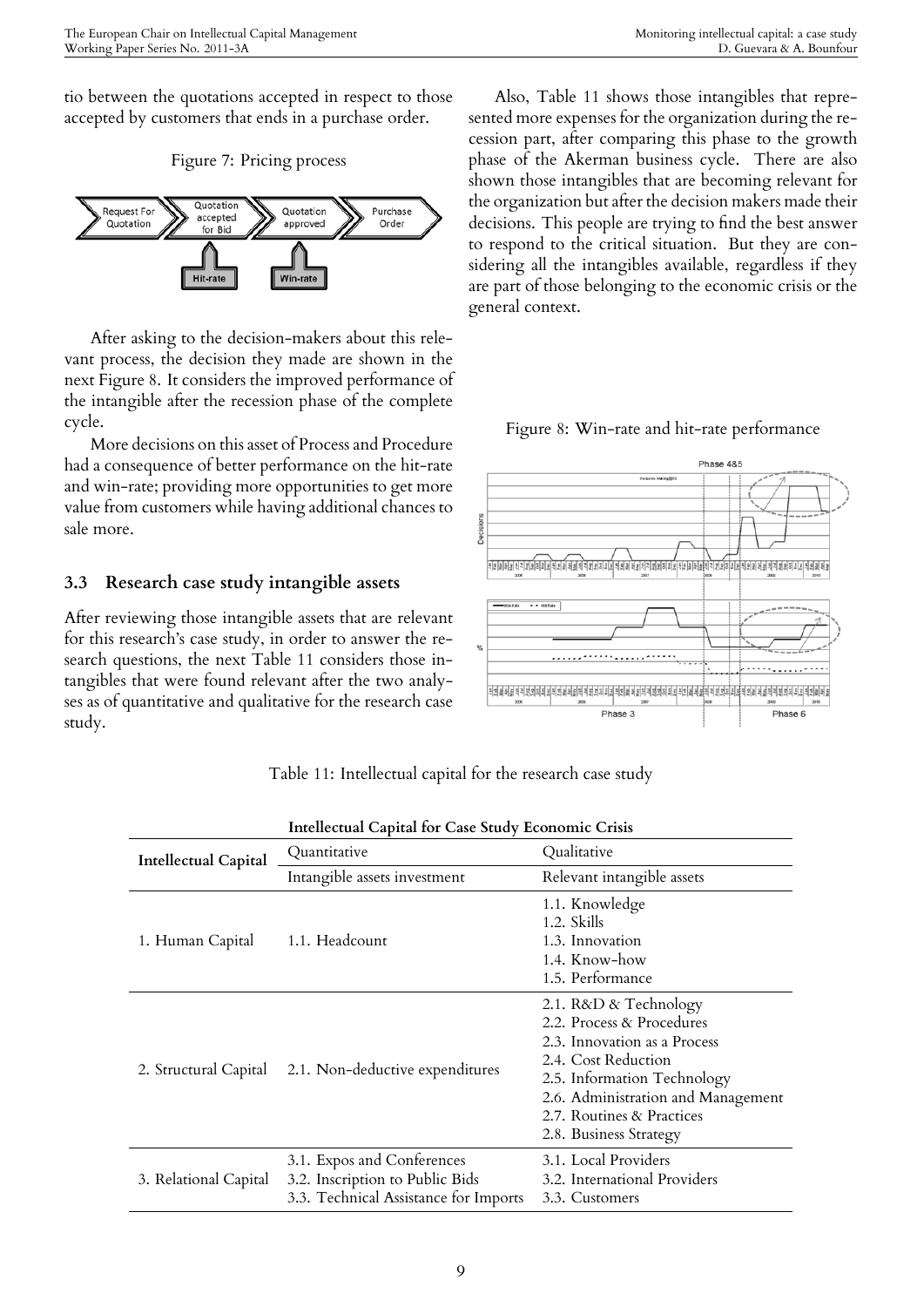tio between the quotations accepted in respect to those accepted by customers that ends in a purchase order.

Figure 7: Pricing process



After asking to the decision-makers about this relevant process, the decision they made are shown in the next Figure 8. It considers the improved performance of the intangible after the recession phase of the complete cycle.

More decisions on this asset of Process and Procedure had a consequence of better performance on the hit-rate and win-rate; providing more opportunities to get more value from customers while having additional chances to sale more.

## **3.3 Research case study intangible assets**

After reviewing those intangible assets that are relevant for this research's case study, in order to answer the research questions, the next Table 11 considers those intangibles that were found relevant after the two analyses as of quantitative and qualitative for the research case study.

Also, Table 11 shows those intangibles that represented more expenses for the organization during the recession part, after comparing this phase to the growth phase of the Akerman business cycle. There are also shown those intangibles that are becoming relevant for the organization but after the decision makers made their decisions. This people are trying to find the best answer to respond to the critical situation. But they are considering all the intangibles available, regardless if they are part of those belonging to the economic crisis or the general context.

Figure 8: Win-rate and hit-rate performance



|                             | Intellectual Capital for Case Study Economic Crisis                                                    |                                                                                                                                                                                                                                       |  |
|-----------------------------|--------------------------------------------------------------------------------------------------------|---------------------------------------------------------------------------------------------------------------------------------------------------------------------------------------------------------------------------------------|--|
| <b>Intellectual Capital</b> | Quantitative                                                                                           | Qualitative                                                                                                                                                                                                                           |  |
|                             | Intangible assets investment                                                                           | Relevant intangible assets                                                                                                                                                                                                            |  |
| 1. Human Capital            | 1.1. Headcount                                                                                         | 1.1. Knowledge<br>1.2. Skills<br>1.3. Innovation<br>1.4. Know-how<br>1.5. Performance                                                                                                                                                 |  |
| 2. Structural Capital       | 2.1. Non-deductive expenditures                                                                        | 2.1. R&D & Technology<br>2.2. Process & Procedures<br>2.3. Innovation as a Process<br>2.4. Cost Reduction<br>2.5. Information Technology<br>2.6. Administration and Management<br>2.7. Routines & Practices<br>2.8. Business Strategy |  |
| 3. Relational Capital       | 3.1. Expos and Conferences<br>3.2. Inscription to Public Bids<br>3.3. Technical Assistance for Imports | 3.1. Local Providers<br>3.2. International Providers<br>3.3. Customers                                                                                                                                                                |  |

Table 11: Intellectual capital for the research case study

| ٠                  |
|--------------------|
|                    |
| f<br>۰.<br>۰.<br>۹ |
|                    |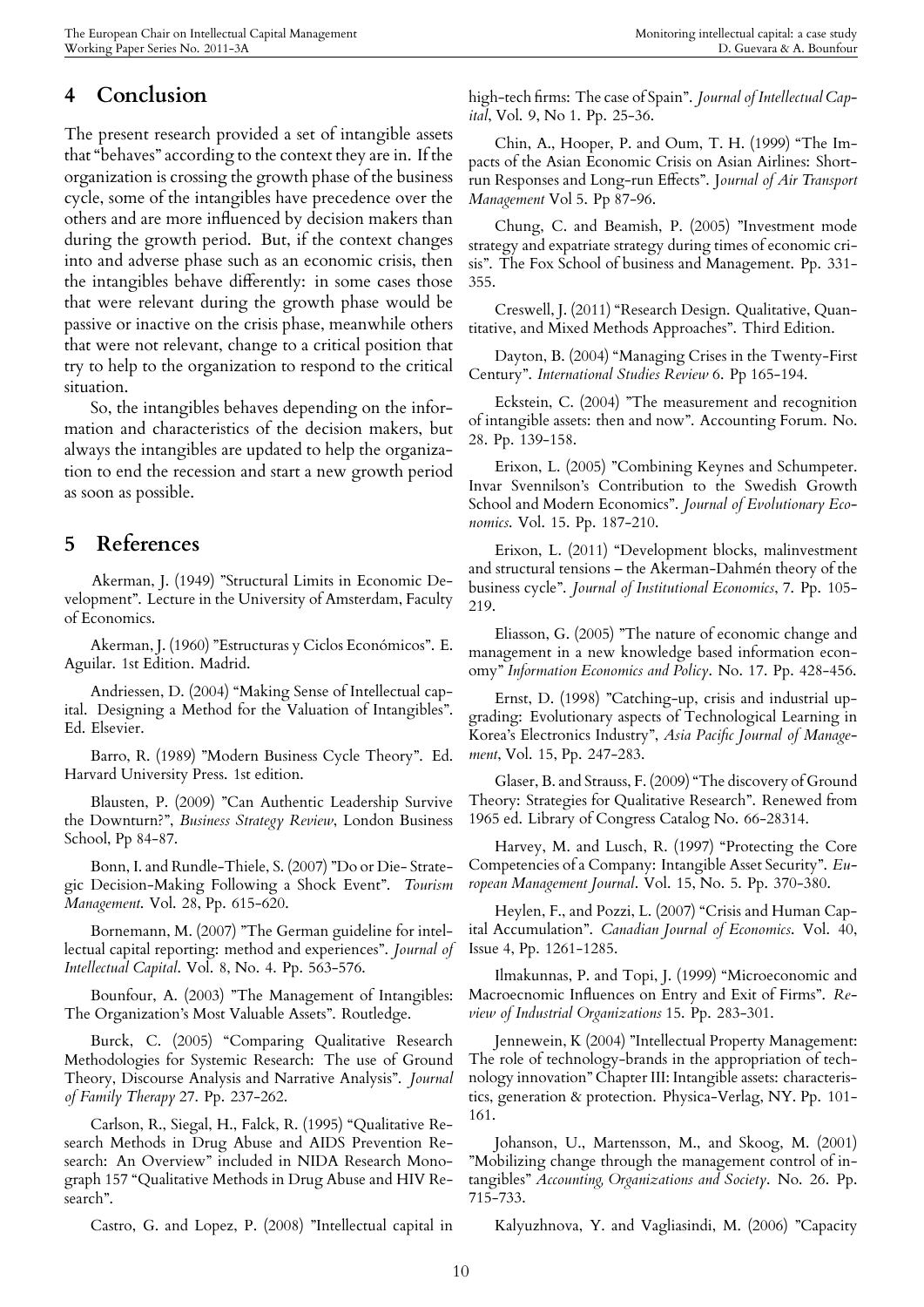## **4 Conclusion**

The present research provided a set of intangible assets that "behaves" according to the context they are in. If the organization is crossing the growth phase of the business cycle, some of the intangibles have precedence over the others and are more influenced by decision makers than during the growth period. But, if the context changes into and adverse phase such as an economic crisis, then the intangibles behave differently: in some cases those that were relevant during the growth phase would be passive or inactive on the crisis phase, meanwhile others that were not relevant, change to a critical position that try to help to the organization to respond to the critical situation.

So, the intangibles behaves depending on the information and characteristics of the decision makers, but always the intangibles are updated to help the organization to end the recession and start a new growth period as soon as possible.

## **5 References**

Akerman, J. (1949) "Structural Limits in Economic Development". Lecture in the University of Amsterdam, Faculty of Economics.

Akerman, J. (1960) "Estructuras y Ciclos Económicos". E. Aguilar. 1st Edition. Madrid.

Andriessen, D. (2004) "Making Sense of Intellectual capital. Designing a Method for the Valuation of Intangibles". Ed. Elsevier.

Barro, R. (1989) "Modern Business Cycle Theory". Ed. Harvard University Press. 1st edition.

Blausten, P. (2009) "Can Authentic Leadership Survive the Downturn?", *Business Strategy Review*, London Business School, Pp 84-87.

Bonn, I. and Rundle-Thiele, S. (2007) "Do or Die- Strategic Decision-Making Following a Shock Event". *Tourism Management*. Vol. 28, Pp. 615-620.

Bornemann, M. (2007) "The German guideline for intellectual capital reporting: method and experiences". *Journal of Intellectual Capital*. Vol. 8, No. 4. Pp. 563-576.

Bounfour, A. (2003) "The Management of Intangibles: The Organization's Most Valuable Assets". Routledge.

Burck, C. (2005) "Comparing Qualitative Research Methodologies for Systemic Research: The use of Ground Theory, Discourse Analysis and Narrative Analysis". *Journal of Family Therapy* 27. Pp. 237-262.

Carlson, R., Siegal, H., Falck, R. (1995) "Qualitative Research Methods in Drug Abuse and AIDS Prevention Research: An Overview" included in NIDA Research Monograph 157 "Qualitative Methods in Drug Abuse and HIV Research".

Castro, G. and Lopez, P. (2008) "Intellectual capital in

high-tech firms: The case of Spain". *Journal of Intellectual Capital*, Vol. 9, No 1. Pp. 25-36.

Chin, A., Hooper, P. and Oum, T. H. (1999) "The Impacts of the Asian Economic Crisis on Asian Airlines: Shortrun Responses and Long-run Effects". J*ournal of Air Transport Management* Vol 5. Pp 87-96.

Chung, C. and Beamish, P. (2005) "Investment mode strategy and expatriate strategy during times of economic crisis". The Fox School of business and Management. Pp. 331- 355.

Creswell, J. (2011) "Research Design. Qualitative, Quantitative, and Mixed Methods Approaches". Third Edition.

Dayton, B. (2004) "Managing Crises in the Twenty-First Century". *International Studies Review* 6. Pp 165-194.

Eckstein, C. (2004) "The measurement and recognition of intangible assets: then and now". Accounting Forum. No. 28. Pp. 139-158.

Erixon, L. (2005) "Combining Keynes and Schumpeter. Invar Svennilson's Contribution to the Swedish Growth School and Modern Economics". *Journal of Evolutionary Economics*. Vol. 15. Pp. 187-210.

Erixon, L. (2011) "Development blocks, malinvestment and structural tensions – the Akerman-Dahmén theory of the business cycle". *Journal of Institutional Economics*, 7. Pp. 105- 219.

Eliasson, G. (2005) "The nature of economic change and management in a new knowledge based information economy" *Information Economics and Policy*. No. 17. Pp. 428-456.

Ernst, D. (1998) "Catching-up, crisis and industrial upgrading: Evolutionary aspects of Technological Learning in Korea's Electronics Industry", *Asia Pacific Journal of Management*, Vol. 15, Pp. 247-283.

Glaser, B. and Strauss, F. (2009) "The discovery of Ground Theory: Strategies for Qualitative Research". Renewed from 1965 ed. Library of Congress Catalog No. 66-28314.

Harvey, M. and Lusch, R. (1997) "Protecting the Core Competencies of a Company: Intangible Asset Security". *European Management Journal*. Vol. 15, No. 5. Pp. 370-380.

Heylen, F., and Pozzi, L. (2007) "Crisis and Human Capital Accumulation". *Canadian Journal of Economics*. Vol. 40, Issue 4, Pp. 1261-1285.

Ilmakunnas, P. and Topi, J. (1999) "Microeconomic and Macroecnomic Influences on Entry and Exit of Firms". *Review of Industrial Organizations* 15. Pp. 283-301.

Jennewein, K (2004) "Intellectual Property Management: The role of technology-brands in the appropriation of technology innovation" Chapter III: Intangible assets: characteristics, generation & protection. Physica-Verlag, NY. Pp. 101- 161.

Johanson, U., Martensson, M., and Skoog, M. (2001) "Mobilizing change through the management control of intangibles" *Accounting, Organizations and Society*. No. 26. Pp. 715-733.

Kalyuzhnova, Y. and Vagliasindi, M. (2006) "Capacity